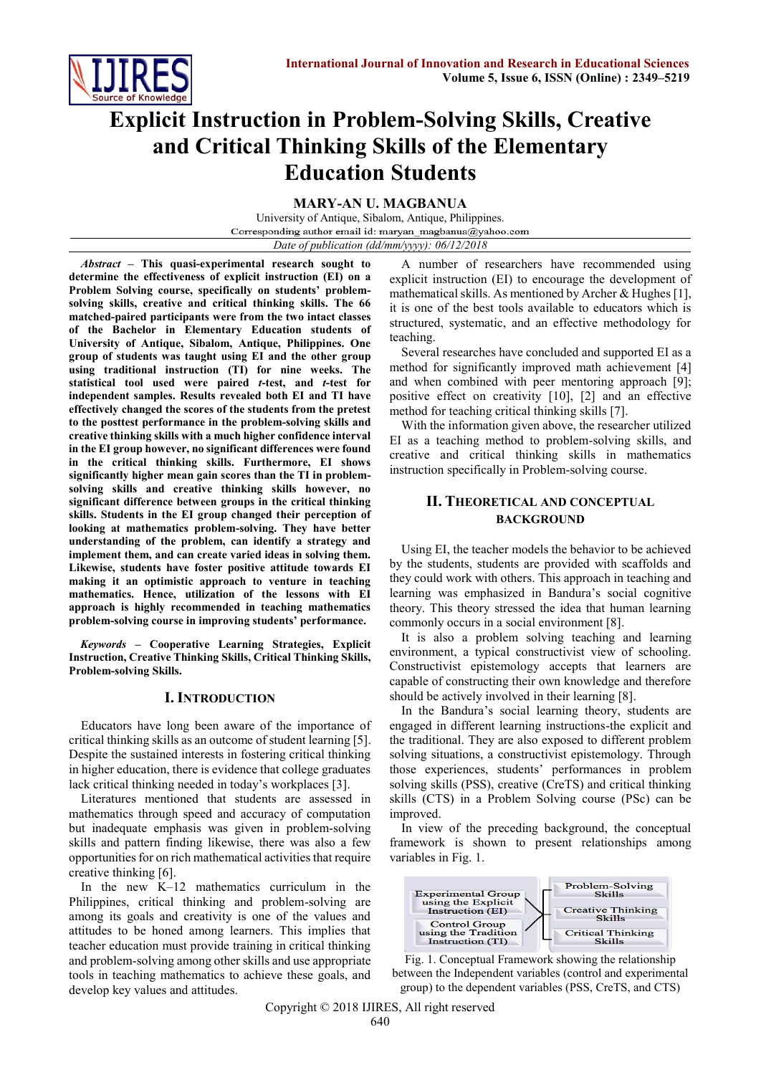

# **Explicit Instruction in Problem-Solving Skills, Creative and Critical Thinking Skills of the Elementary Education Students**

**MARY-AN U. MAGBANUA**

University of Antique, Sibalom, Antique, Philippines. Corresponding author email id: maryan\_magbanua@yahoo.com *Date of publication (dd/mm/yyyy): 06/12/2018*

*Abstract* **– This quasi-experimental research sought to determine the effectiveness of explicit instruction (EI) on a Problem Solving course, specifically on students' problemsolving skills, creative and critical thinking skills. The 66 matched-paired participants were from the two intact classes of the Bachelor in Elementary Education students of University of Antique, Sibalom, Antique, Philippines. One group of students was taught using EI and the other group using traditional instruction (TI) for nine weeks. The statistical tool used were paired** *t***-test, and** *t***-test for independent samples. Results revealed both EI and TI have effectively changed the scores of the students from the pretest to the posttest performance in the problem-solving skills and creative thinking skills with a much higher confidence interval in the EI group however, no significant differences were found in the critical thinking skills. Furthermore, EI shows significantly higher mean gain scores than the TI in problemsolving skills and creative thinking skills however, no significant difference between groups in the critical thinking skills. Students in the EI group changed their perception of looking at mathematics problem-solving. They have better understanding of the problem, can identify a strategy and implement them, and can create varied ideas in solving them. Likewise, students have foster positive attitude towards EI making it an optimistic approach to venture in teaching mathematics. Hence, utilization of the lessons with EI approach is highly recommended in teaching mathematics problem-solving course in improving students' performance.**

*Keywords* **– Cooperative Learning Strategies, Explicit Instruction, Creative Thinking Skills, Critical Thinking Skills, Problem-solving Skills.**

# **I. INTRODUCTION**

Educators have long been aware of the importance of critical thinking skills as an outcome of student learning [5]. Despite the sustained interests in fostering critical thinking in higher education, there is evidence that college graduates lack critical thinking needed in today's workplaces [3].

Literatures mentioned that students are assessed in mathematics through speed and accuracy of computation but inadequate emphasis was given in problem-solving skills and pattern finding likewise, there was also a few opportunities for on rich mathematical activities that require creative thinking [6].

In the new K–12 mathematics curriculum in the Philippines, critical thinking and problem-solving are among its goals and creativity is one of the values and attitudes to be honed among learners. This implies that teacher education must provide training in critical thinking and problem-solving among other skills and use appropriate tools in teaching mathematics to achieve these goals, and develop key values and attitudes.

A number of researchers have recommended using explicit instruction (EI) to encourage the development of mathematical skills. As mentioned by Archer & Hughes [1], it is one of the best tools available to educators which is structured, systematic, and an effective methodology for teaching.

Several researches have concluded and supported EI as a method for significantly improved math achievement [4] and when combined with peer mentoring approach [9]; positive effect on creativity [10], [2] and an effective method for teaching critical thinking skills [7].

With the information given above, the researcher utilized EI as a teaching method to problem-solving skills, and creative and critical thinking skills in mathematics instruction specifically in Problem-solving course.

# **II. THEORETICAL AND CONCEPTUAL BACKGROUND**

Using EI, the teacher models the behavior to be achieved by the students, students are provided with scaffolds and they could work with others. This approach in teaching and learning was emphasized in Bandura's social cognitive theory. This theory stressed the idea that human learning commonly occurs in a social environment [8].

It is also a problem solving teaching and learning environment, a typical constructivist view of schooling. Constructivist epistemology accepts that learners are capable of constructing their own knowledge and therefore should be actively involved in their learning [8].

In the Bandura's social learning theory, students are engaged in different learning instructions-the explicit and the traditional. They are also exposed to different problem solving situations, a constructivist epistemology. Through those experiences, students' performances in problem solving skills (PSS), creative (CreTS) and critical thinking skills (CTS) in a Problem Solving course (PSc) can be improved.

In view of the preceding background, the conceptual framework is shown to present relationships among variables in Fig. 1.



Fig. 1. Conceptual Framework showing the relationship between the Independent variables (control and experimental group) to the dependent variables (PSS, CreTS, and CTS)

Copyright © 2018 IJIRES, All right reserved 640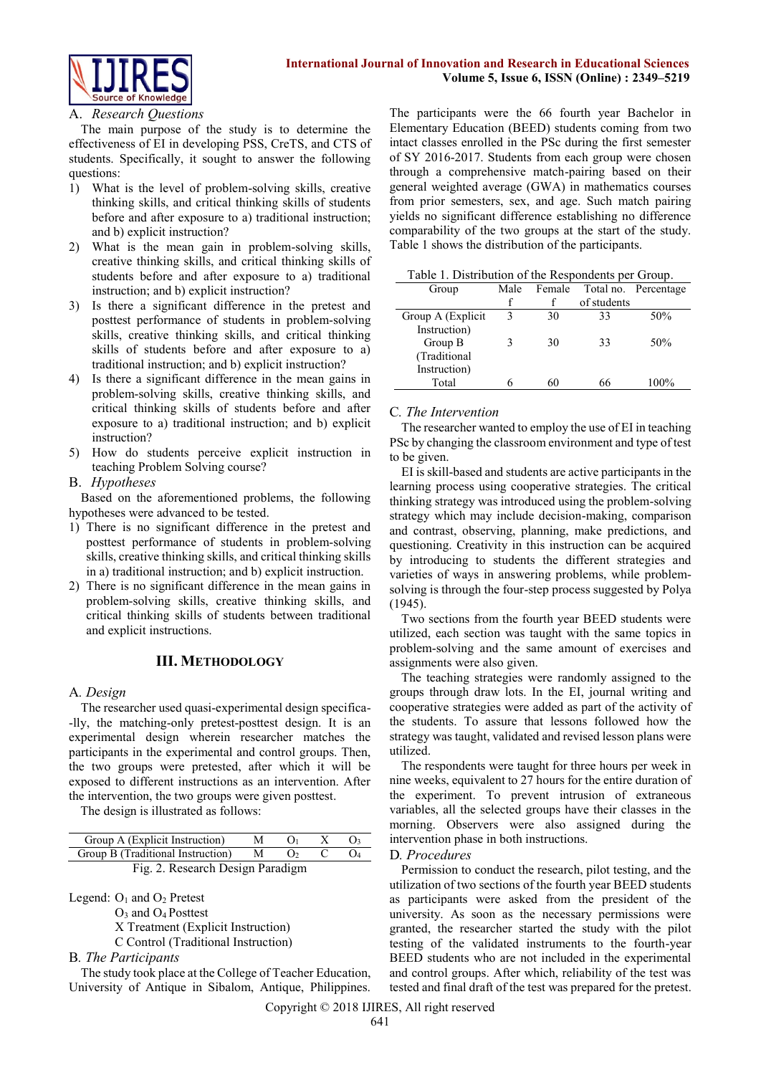

### A. *Research Questions*

The main purpose of the study is to determine the effectiveness of EI in developing PSS, CreTS, and CTS of students. Specifically, it sought to answer the following questions:

- 1) What is the level of problem-solving skills, creative thinking skills, and critical thinking skills of students before and after exposure to a) traditional instruction; and b) explicit instruction?
- 2) What is the mean gain in problem-solving skills, creative thinking skills, and critical thinking skills of students before and after exposure to a) traditional instruction; and b) explicit instruction?
- 3) Is there a significant difference in the pretest and posttest performance of students in problem-solving skills, creative thinking skills, and critical thinking skills of students before and after exposure to a) traditional instruction; and b) explicit instruction?
- 4) Is there a significant difference in the mean gains in problem-solving skills, creative thinking skills, and critical thinking skills of students before and after exposure to a) traditional instruction; and b) explicit instruction?
- 5) How do students perceive explicit instruction in teaching Problem Solving course?
- B. *Hypotheses*

Based on the aforementioned problems, the following hypotheses were advanced to be tested.

- 1) There is no significant difference in the pretest and posttest performance of students in problem-solving skills, creative thinking skills, and critical thinking skills in a) traditional instruction; and b) explicit instruction.
- 2) There is no significant difference in the mean gains in problem-solving skills, creative thinking skills, and critical thinking skills of students between traditional and explicit instructions.

# **III. METHODOLOGY**

## A*. Design*

The researcher used quasi-experimental design specifica- -lly, the matching-only pretest-posttest design. It is an experimental design wherein researcher matches the participants in the experimental and control groups. Then, the two groups were pretested, after which it will be exposed to different instructions as an intervention. After the intervention, the two groups were given posttest.

The design is illustrated as follows:

| Group A (Explicit Instruction)      | M        |  |  |
|-------------------------------------|----------|--|--|
| Group B (Traditional Instruction) M | $\Omega$ |  |  |
| Fig. 2. Research Design Paradigm    |          |  |  |

Legend:  $O_1$  and  $O_2$  Pretest

O<sup>3</sup> and O4 Posttest

X Treatment (Explicit Instruction)

C Control (Traditional Instruction)

B*. The Participants*

The study took place at the College of Teacher Education, University of Antique in Sibalom, Antique, Philippines.

The participants were the 66 fourth year Bachelor in Elementary Education (BEED) students coming from two intact classes enrolled in the PSc during the first semester of SY 2016-2017. Students from each group were chosen through a comprehensive match-pairing based on their general weighted average (GWA) in mathematics courses from prior semesters, sex, and age. Such match pairing yields no significant difference establishing no difference comparability of the two groups at the start of the study. Table 1 shows the distribution of the participants.

|                    | raone r. Distribution of the respondents per Group. |        |             |                      |  |  |  |  |
|--------------------|-----------------------------------------------------|--------|-------------|----------------------|--|--|--|--|
| Group              | Male                                                | Female |             | Total no. Percentage |  |  |  |  |
|                    |                                                     |        | of students |                      |  |  |  |  |
| Group A (Explicit) | 3                                                   | 30     | 33          | 50%                  |  |  |  |  |
| Instruction)       |                                                     |        |             |                      |  |  |  |  |
| Group B            |                                                     | 30     | 33          | 50%                  |  |  |  |  |
| (Traditional       |                                                     |        |             |                      |  |  |  |  |
| Instruction)       |                                                     |        |             |                      |  |  |  |  |
| Total              |                                                     | 60     | 66          | 100%                 |  |  |  |  |

### C*. The Intervention*

The researcher wanted to employ the use of EI in teaching PSc by changing the classroom environment and type of test to be given.

EI is skill-based and students are active participants in the learning process using cooperative strategies. The critical thinking strategy was introduced using the problem-solving strategy which may include decision-making, comparison and contrast, observing, planning, make predictions, and questioning. Creativity in this instruction can be acquired by introducing to students the different strategies and varieties of ways in answering problems, while problemsolving is through the four-step process suggested by Polya (1945).

Two sections from the fourth year BEED students were utilized, each section was taught with the same topics in problem-solving and the same amount of exercises and assignments were also given.

The teaching strategies were randomly assigned to the groups through draw lots. In the EI, journal writing and cooperative strategies were added as part of the activity of the students. To assure that lessons followed how the strategy was taught, validated and revised lesson plans were utilized.

The respondents were taught for three hours per week in nine weeks, equivalent to 27 hours for the entire duration of the experiment. To prevent intrusion of extraneous variables, all the selected groups have their classes in the morning. Observers were also assigned during the intervention phase in both instructions.

#### D*. Procedures*

Permission to conduct the research, pilot testing, and the utilization of two sections of the fourth year BEED students as participants were asked from the president of the university. As soon as the necessary permissions were granted, the researcher started the study with the pilot testing of the validated instruments to the fourth-year BEED students who are not included in the experimental and control groups. After which, reliability of the test was tested and final draft of the test was prepared for the pretest.

Copyright © 2018 IJIRES, All right reserved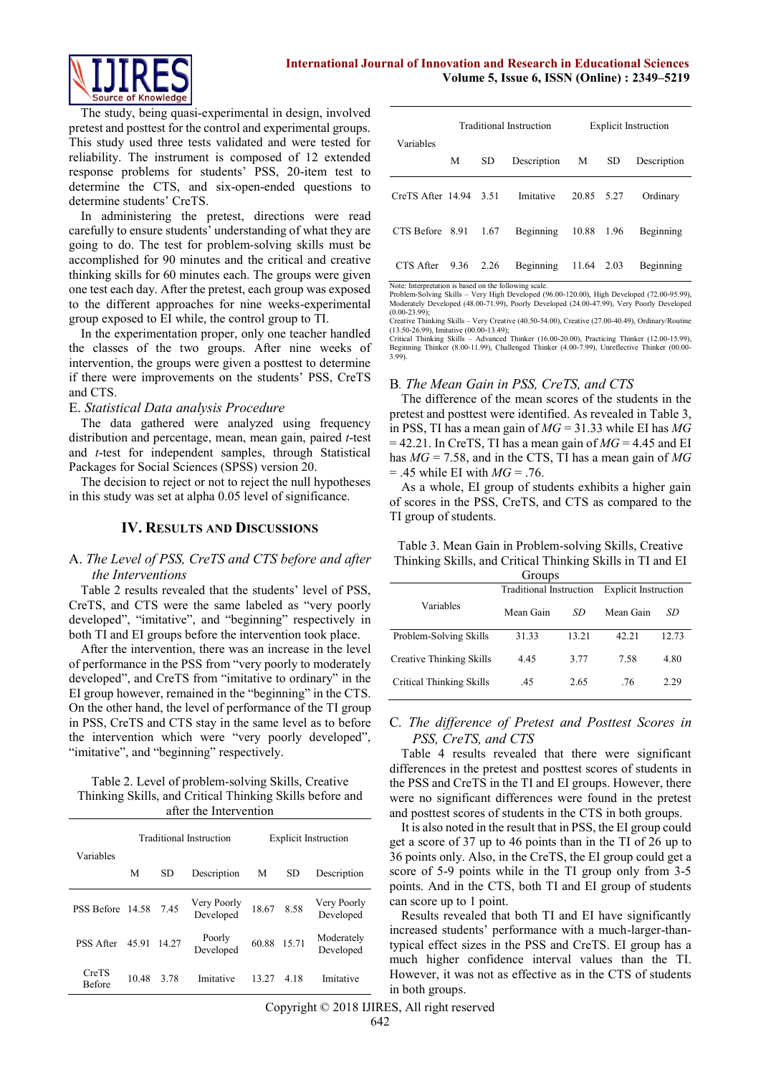

The study, being quasi-experimental in design, involved pretest and posttest for the control and experimental groups. This study used three tests validated and were tested for reliability. The instrument is composed of 12 extended response problems for students' PSS, 20-item test to determine the CTS, and six-open-ended questions to determine students' CreTS.

In administering the pretest, directions were read carefully to ensure students' understanding of what they are going to do. The test for problem-solving skills must be accomplished for 90 minutes and the critical and creative thinking skills for 60 minutes each. The groups were given one test each day. After the pretest, each group was exposed to the different approaches for nine weeks-experimental group exposed to EI while, the control group to TI.

In the experimentation proper, only one teacher handled the classes of the two groups. After nine weeks of intervention, the groups were given a posttest to determine if there were improvements on the students' PSS, CreTS and CTS.

#### E. *Statistical Data analysis Procedure*

The data gathered were analyzed using frequency distribution and percentage, mean, mean gain, paired *t*-test and *t*-test for independent samples, through Statistical Packages for Social Sciences (SPSS) version 20.

The decision to reject or not to reject the null hypotheses in this study was set at alpha 0.05 level of significance.

### **IV. RESULTS AND DISCUSSIONS**

## A. *The Level of PSS, CreTS and CTS before and after the Interventions*

Table 2 results revealed that the students' level of PSS, CreTS, and CTS were the same labeled as "very poorly developed", "imitative", and "beginning" respectively in both TI and EI groups before the intervention took place.

After the intervention, there was an increase in the level of performance in the PSS from "very poorly to moderately developed", and CreTS from "imitative to ordinary" in the EI group however, remained in the "beginning" in the CTS. On the other hand, the level of performance of the TI group in PSS, CreTS and CTS stay in the same level as to before the intervention which were "very poorly developed", "imitative", and "beginning" respectively.

Table 2. Level of problem-solving Skills, Creative Thinking Skills, and Critical Thinking Skills before and after the Intervention

| Variables              |                |       | <b>Traditional Instruction</b> | <b>Explicit Instruction</b> |       |                          |  |
|------------------------|----------------|-------|--------------------------------|-----------------------------|-------|--------------------------|--|
|                        | <b>SD</b><br>М |       | Description                    | М                           |       | Description              |  |
| PSS Before 14.58       |                | 745   | Very Poorly<br>Developed       | 18.67                       | 8.58  | Very Poorly<br>Developed |  |
| PSS After              | 45.91          | 14.27 | Poorly<br>Developed            | 60.88 15.71                 |       | Moderately<br>Developed  |  |
| CreTS<br><b>Before</b> | 10.48          | 3.78  | Imitative                      | 13.27                       | 4 1 8 | Imitative                |  |

|                          |      |                          | Traditional Instruction | <b>Explicit Instruction</b> |  |             |  |
|--------------------------|------|--------------------------|-------------------------|-----------------------------|--|-------------|--|
| Variables                | М    | <b>SD</b><br>Description |                         | <b>SD</b><br>M              |  | Description |  |
| CreTS After $14.94$ 3.51 |      |                          | Imitative               | 20.85 5.27                  |  | Ordinary    |  |
| CTS Before 8.91          |      | 1.67                     | Beginning               | 10.88 1.96                  |  | Beginning   |  |
| CTS After                | 9.36 | 2.26                     | Beginning               | 11.64 2.03                  |  | Beginning   |  |

Note: Interpretation is based on the following scale.<br>Problem-Solving Skills – Very High Developed (96.00-120.00), High Developed (72.00-95.99),<br>Moderately Developed (48.00-71.99), Poorly Developed (24.00-47.99), Very Poor  $(0.00-23.99);$ 

Creative Thinking Skills – Very Creative (40.50-54.00), Creative (27.00-40.49), Ordinary/Routine

(13.50-26.99), Imitative (00.00-13.49);<br>Critical Thinking Skills – Advanced Thinker (16.00-20.00), Practicing Thinker (12.00-15.99),<br>Beginning Thinker (8.00-11.99), Challenged Thinker (4.00-7.99), Unreflective Thinker (00. 3.99).

# B*. The Mean Gain in PSS, CreTS, and CTS*

The difference of the mean scores of the students in the pretest and posttest were identified. As revealed in Table 3, in PSS, TI has a mean gain of *MG* = 31.33 while EI has *MG*  $= 42.21$ . In CreTS, TI has a mean gain of  $MG = 4.45$  and EI has *MG* = 7.58, and in the CTS, TI has a mean gain of *MG*  $= .45$  while EI with  $MG = .76$ .

As a whole, EI group of students exhibits a higher gain of scores in the PSS, CreTS, and CTS as compared to the TI group of students.

|  |  |  | Table 3. Mean Gain in Problem-solving Skills, Creative     |
|--|--|--|------------------------------------------------------------|
|  |  |  | Thinking Skills, and Critical Thinking Skills in TI and EI |

| Groups                   |                                |       |                             |       |  |  |
|--------------------------|--------------------------------|-------|-----------------------------|-------|--|--|
|                          | <b>Traditional Instruction</b> |       | <b>Explicit Instruction</b> |       |  |  |
| Variables                | Mean Gain                      | SD    | Mean Gain                   | SD    |  |  |
| Problem-Solving Skills   | 31.33                          | 13.21 | 42.21                       | 12.73 |  |  |
| Creative Thinking Skills | 4.45                           | 3.77  | 7.58                        | 4.80  |  |  |
| Critical Thinking Skills | .45                            | 2.65  | .76                         | 2.29  |  |  |

## C*. The difference of Pretest and Posttest Scores in PSS, CreTS, and CTS*

Table 4 results revealed that there were significant differences in the pretest and posttest scores of students in the PSS and CreTS in the TI and EI groups. However, there were no significant differences were found in the pretest and posttest scores of students in the CTS in both groups.

It is also noted in the result that in PSS, the EI group could get a score of 37 up to 46 points than in the TI of 26 up to 36 points only. Also, in the CreTS, the EI group could get a score of 5-9 points while in the TI group only from 3-5 points. And in the CTS, both TI and EI group of students can score up to 1 point.

Results revealed that both TI and EI have significantly increased students' performance with a much-larger-thantypical effect sizes in the PSS and CreTS. EI group has a much higher confidence interval values than the TI. However, it was not as effective as in the CTS of students in both groups.

Copyright © 2018 IJIRES, All right reserved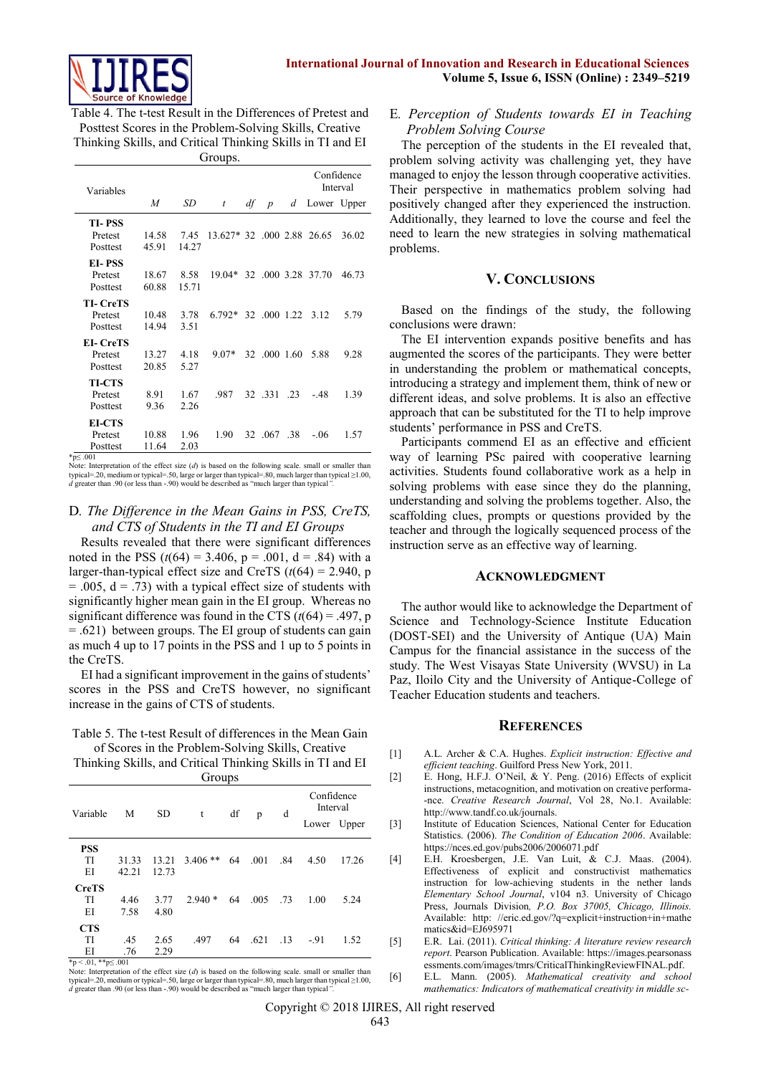

Table 4. The t-test Result in the Differences of Pretest and Posttest Scores in the Problem-Solving Skills, Creative Thinking Skills, and Critical Thinking Skills in TI and EI **Groups**.

| Variables       |       |           |                            |    |                  |    |                    | Confidence<br>Interval |
|-----------------|-------|-----------|----------------------------|----|------------------|----|--------------------|------------------------|
|                 | M     | <b>SD</b> | t                          | df | $\boldsymbol{p}$ | d  | Lower Upper        |                        |
| TI-PSS          |       |           |                            |    |                  |    |                    |                        |
| Pretest         | 14.58 | 7.45      | 13.627* 32 .000 2.88 26.65 |    |                  |    |                    | 36.02                  |
| Posttest        | 45.91 | 14.27     |                            |    |                  |    |                    |                        |
| EI-PSS          |       |           |                            |    |                  |    |                    |                        |
| Pretest         | 18.67 | 8.58      | $19.04*$                   |    |                  |    | 32 .000 3.28 37.70 | 46.73                  |
| Posttest        | 60.88 | 15.71     |                            |    |                  |    |                    |                        |
| <b>TL-CreTS</b> |       |           |                            |    |                  |    |                    |                        |
| Pretest         | 10.48 | 3.78      | $6792*$                    |    | 32 .000 1.22     |    | 3.12               | 5.79                   |
| Posttest        | 14.94 | 3.51      |                            |    |                  |    |                    |                        |
| EI- CreTS       |       |           |                            |    |                  |    |                    |                        |
| Pretest         | 13.27 | 4.18      | $9.07*$                    |    | 32 .000 1.60     |    | 5.88               | 9.28                   |
| Posttest        | 20.85 | 5.27      |                            |    |                  |    |                    |                        |
| <b>TI-CTS</b>   |       |           |                            |    |                  |    |                    |                        |
| Pretest         | 8.91  | 1.67      | .987                       |    | 32 331           | 23 | - 48               | 1.39                   |
| Posttest        | 9.36  | 2.26      |                            |    |                  |    |                    |                        |
| <b>EI-CTS</b>   |       |           |                            |    |                  |    |                    |                        |
| Pretest         | 10.88 | 1.96      | 1.90                       |    | 32 .067 .38      |    | $-06$              | 1.57                   |
| Posttest        | 11.64 | 2.03      |                            |    |                  |    |                    |                        |

 $*_{p}$  < 001

Note: Interpretation of the effect size  $(d)$  is based on the following scale. small or smaller than typical=.20, medium or typical=.50, large or larger than typical=.80, much larger than typical ≥1.00, *d* greater than .90 (or less than -.90) would be described as "much larger than typical".

## D*. The Difference in the Mean Gains in PSS, CreTS, and CTS of Students in the TI and EI Groups*

Results revealed that there were significant differences noted in the PSS  $(t(64) = 3.406, p = .001, d = .84)$  with a larger-than-typical effect size and CreTS  $(t(64) = 2.940, p$  $= .005$ ,  $d = .73$ ) with a typical effect size of students with significantly higher mean gain in the EI group. Whereas no significant difference was found in the CTS  $(t(64) = .497, p$ = .621) between groups. The EI group of students can gain as much 4 up to 17 points in the PSS and 1 up to 5 points in the CreTS.

EI had a significant improvement in the gains of students' scores in the PSS and CreTS however, no significant increase in the gains of CTS of students.

Table 5. The t-test Result of differences in the Mean Gain of Scores in the Problem-Solving Skills, Creative

Thinking Skills, and Critical Thinking Skills in TI and EI

| Confidence<br>Interval<br>df<br>Variable<br>M<br><b>SD</b><br>d<br>t<br>p<br>Lower Upper<br><b>PSS</b><br>TI<br>$3.406$ **<br>64<br>.001<br>.84<br>4.50<br>31.33<br>13.21<br>EI<br>42.21<br>12.73<br><b>CreTS</b> | Groups |      |      |          |    |      |      |      |       |
|-------------------------------------------------------------------------------------------------------------------------------------------------------------------------------------------------------------------|--------|------|------|----------|----|------|------|------|-------|
|                                                                                                                                                                                                                   |        |      |      |          |    |      |      |      |       |
|                                                                                                                                                                                                                   |        |      |      |          |    |      |      |      |       |
|                                                                                                                                                                                                                   |        |      |      |          |    |      |      |      |       |
|                                                                                                                                                                                                                   |        |      |      |          |    |      |      |      | 17.26 |
|                                                                                                                                                                                                                   |        |      |      |          |    |      |      |      |       |
|                                                                                                                                                                                                                   |        |      |      |          |    |      |      |      |       |
|                                                                                                                                                                                                                   | TI     | 4.46 | 3.77 | $2.940*$ | 64 | .005 | - 73 | 1.00 | 5.24  |
| 7.58<br>4.80<br>ΕI                                                                                                                                                                                                |        |      |      |          |    |      |      |      |       |
| <b>CTS</b>                                                                                                                                                                                                        |        |      |      |          |    |      |      |      |       |
| TI<br>.497<br>64<br>.621<br>.45<br>2.65<br>$\overline{13}$<br>$-91$                                                                                                                                               |        |      |      |          |    |      |      |      | 1.52  |
| 2.29<br>EI<br>.76                                                                                                                                                                                                 |        |      |      |          |    |      |      |      |       |

\*p < .01, \*\*p≤ .001 Note: Interpretation of the effect size (*d*) is based on the following scale. small or smaller than typical=.20, medium or typical=.50, large or larger than typical=.80, much larger than typical ≥1.00, *d* greater than .90 (or less than -.90) would be described as "much larger than typical*".*

## E*. Perception of Students towards EI in Teaching Problem Solving Course*

The perception of the students in the EI revealed that, problem solving activity was challenging yet, they have managed to enjoy the lesson through cooperative activities. Their perspective in mathematics problem solving had positively changed after they experienced the instruction. Additionally, they learned to love the course and feel the need to learn the new strategies in solving mathematical problems.

## **V. CONCLUSIONS**

Based on the findings of the study, the following conclusions were drawn:

The EI intervention expands positive benefits and has augmented the scores of the participants. They were better in understanding the problem or mathematical concepts, introducing a strategy and implement them, think of new or different ideas, and solve problems. It is also an effective approach that can be substituted for the TI to help improve students' performance in PSS and CreTS.

Participants commend EI as an effective and efficient way of learning PSc paired with cooperative learning activities. Students found collaborative work as a help in solving problems with ease since they do the planning, understanding and solving the problems together. Also, the scaffolding clues, prompts or questions provided by the teacher and through the logically sequenced process of the instruction serve as an effective way of learning.

#### **ACKNOWLEDGMENT**

The author would like to acknowledge the Department of Science and Technology-Science Institute Education (DOST-SEI) and the University of Antique (UA) Main Campus for the financial assistance in the success of the study. The West Visayas State University (WVSU) in La Paz, Iloilo City and the University of Antique-College of Teacher Education students and teachers.

#### **REFERENCES**

- [1] A.L. Archer & C.A. Hughes. *Explicit instruction: Effective and efficient teaching*. Guilford Press New York, 2011.
- [2] E. Hong, H.F.J. O'Neil, & Y. Peng. (2016) Effects of explicit instructions, metacognition, and motivation on creative performa- -nce. *Creative Research Journal*, Vol 28, No.1. Available: http://www.tandf.co.uk/journals.
- [3] Institute of Education Sciences, National Center for Education Statistics. (2006). *The Condition of Education 2006*. Available: https://nces.ed.gov/pubs2006/2006071.pdf
- [4] E.H. Kroesbergen, J.E. Van Luit, & C.J. Maas. (2004). Effectiveness of explicit and constructivist mathematics instruction for low-achieving students in the nether lands *Elementary School Journal*, v104 n3. University of Chicago Press, Journals Division*, P.O. Box 37005, Chicago, Illinois.*  Available: http: //eric.ed.gov/?q=explicit+instruction+in+mathe matics&id=EJ695971
- [5] E.R. Lai. (2011). *Critical thinking: A literature review research report*. Pearson Publication. Available: [https://images.pearsonass](https://images.pearsonass/) essments.com/images/tmrs/CriticalThinkingReviewFINAL.pdf.
- [6] E.L. Mann. (2005). *Mathematical creativity and school mathematics: Indicators of mathematical creativity in middle sc-*